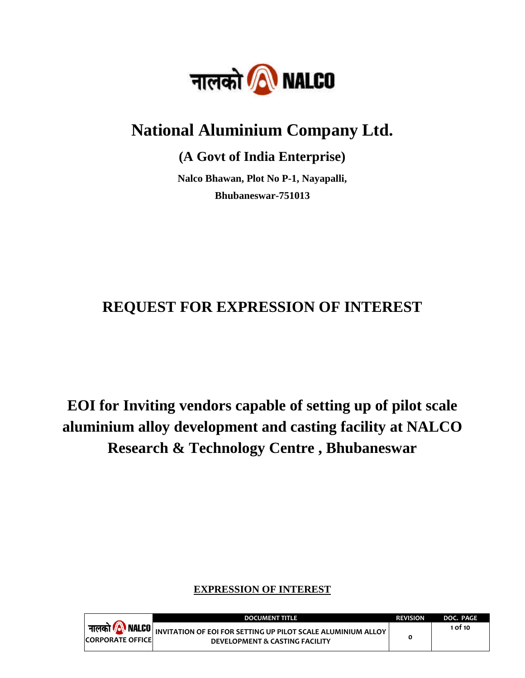

# **National Aluminium Company Ltd.**

**(A Govt of India Enterprise)**

**Nalco Bhawan, Plot No P-1, Nayapalli, Bhubaneswar-751013**

# **REQUEST FOR EXPRESSION OF INTEREST**

**EOI for Inviting vendors capable of setting up of pilot scale aluminium alloy development and casting facility at NALCO Research & Technology Centre , Bhubaneswar**

# **EXPRESSION OF INTEREST**

|                          | <b>DOCUMENT TITLE</b>                                                                                                                 | <b>REVISION</b> | DOC. PAGE |
|--------------------------|---------------------------------------------------------------------------------------------------------------------------------------|-----------------|-----------|
| <b>CORPORATE OFFICEL</b> | ा <b>नालको <mark>/A</mark> NALCO</b> NIVITATION OF EOI FOR SETTING UP PILOT SCALE ALUMINIUM ALLOY I<br>DEVELOPMENT & CASTING FACILITY |                 | 1 of 10   |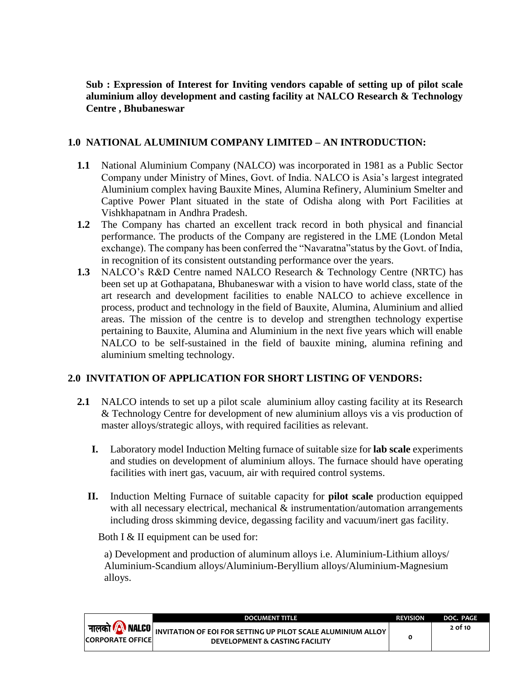**Sub : Expression of Interest for Inviting vendors capable of setting up of pilot scale aluminium alloy development and casting facility at NALCO Research & Technology Centre , Bhubaneswar**

## **1.0 NATIONAL ALUMINIUM COMPANY LIMITED – AN INTRODUCTION:**

- **1.1** National Aluminium Company (NALCO) was incorporated in 1981 as a Public Sector Company under Ministry of Mines, Govt. of India. NALCO is Asia's largest integrated Aluminium complex having Bauxite Mines, Alumina Refinery, Aluminium Smelter and Captive Power Plant situated in the state of Odisha along with Port Facilities at Vishkhapatnam in Andhra Pradesh.
- **1.2** The Company has charted an excellent track record in both physical and financial performance. The products of the Company are registered in the LME (London Metal exchange). The company has been conferred the "Navaratna"status by the Govt. of India, in recognition of its consistent outstanding performance over the years.
- **1.3** NALCO's R&D Centre named NALCO Research & Technology Centre (NRTC) has been set up at Gothapatana, Bhubaneswar with a vision to have world class, state of the art research and development facilities to enable NALCO to achieve excellence in process, product and technology in the field of Bauxite, Alumina, Aluminium and allied areas. The mission of the centre is to develop and strengthen technology expertise pertaining to Bauxite, Alumina and Aluminium in the next five years which will enable NALCO to be self-sustained in the field of bauxite mining, alumina refining and aluminium smelting technology.

# **2.0 INVITATION OF APPLICATION FOR SHORT LISTING OF VENDORS:**

- **2.1** NALCO intends to set up a pilot scale aluminium alloy casting facility at its Research & Technology Centre for development of new aluminium alloys vis a vis production of master alloys/strategic alloys, with required facilities as relevant.
	- **I.** Laboratory model Induction Melting furnace of suitable size for **lab scale** experiments and studies on development of aluminium alloys. The furnace should have operating facilities with inert gas, vacuum, air with required control systems.
	- **II.** Induction Melting Furnace of suitable capacity for **pilot scale** production equipped with all necessary electrical, mechanical & instrumentation/automation arrangements including dross skimming device, degassing facility and vacuum/inert gas facility.

Both I & II equipment can be used for:

a) Development and production of aluminum alloys i.e. Aluminium-Lithium alloys/ Aluminium-Scandium alloys/Aluminium-Beryllium alloys/Aluminium-Magnesium alloys.

|                          | <b>DOCUMENT TITLE</b>                                                                                                                                                     | <b>REVISION</b> | DOC. PAGE |
|--------------------------|---------------------------------------------------------------------------------------------------------------------------------------------------------------------------|-----------------|-----------|
| <b>CORPORATE OFFICEL</b> | <sub>।</sub> <b>नालको <mark>/</mark>A\ NALCO</b>   <sub>INVITATION OF EOI FOR SETTING UP PILOT SCALE ALUMINIUM ALLOY <sup> </sup></sub><br>DEVELOPMENT & CASTING FACILITY |                 | 2 of 10   |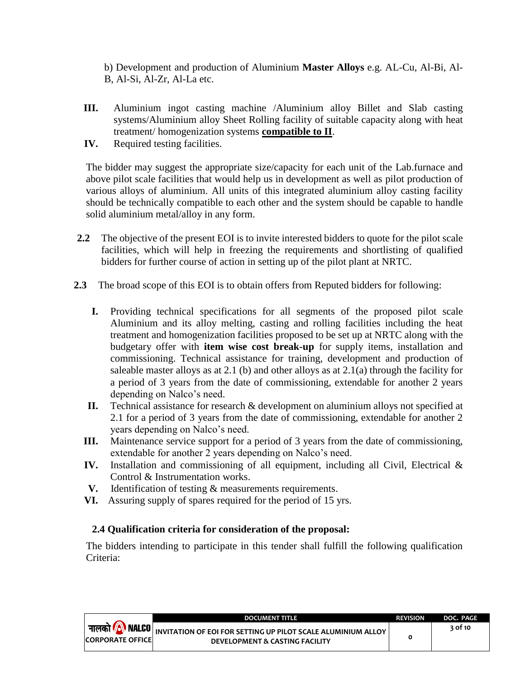b) Development and production of Aluminium **Master Alloys** e.g. AL-Cu, Al-Bi, Al-B, Al-Si, Al-Zr, Al-La etc.

- **III.** Aluminium ingot casting machine /Aluminium alloy Billet and Slab casting systems/Aluminium alloy Sheet Rolling facility of suitable capacity along with heat treatment/ homogenization systems **compatible to II**.
- **IV.** Required testing facilities.

The bidder may suggest the appropriate size/capacity for each unit of the Lab.furnace and above pilot scale facilities that would help us in development as well as pilot production of various alloys of aluminium. All units of this integrated aluminium alloy casting facility should be technically compatible to each other and the system should be capable to handle solid aluminium metal/alloy in any form.

- **2.2** The objective of the present EOI is to invite interested bidders to quote for the pilot scale facilities, which will help in freezing the requirements and shortlisting of qualified bidders for further course of action in setting up of the pilot plant at NRTC.
- **2.3** The broad scope of this EOI is to obtain offers from Reputed bidders for following:
	- **I.** Providing technical specifications for all segments of the proposed pilot scale Aluminium and its alloy melting, casting and rolling facilities including the heat treatment and homogenization facilities proposed to be set up at NRTC along with the budgetary offer with **item wise cost break-up** for supply items, installation and commissioning. Technical assistance for training, development and production of saleable master alloys as at 2.1 (b) and other alloys as at  $2.1(a)$  through the facility for a period of 3 years from the date of commissioning, extendable for another 2 years depending on Nalco's need.
	- **II.** Technical assistance for research & development on aluminium alloys not specified at 2.1 for a period of 3 years from the date of commissioning, extendable for another 2 years depending on Nalco's need.
	- **III.** Maintenance service support for a period of 3 years from the date of commissioning, extendable for another 2 years depending on Nalco's need.
	- **IV.** Installation and commissioning of all equipment, including all Civil, Electrical & Control & Instrumentation works.
	- **V.** Identification of testing & measurements requirements.
	- **VI.** Assuring supply of spares required for the period of 15 yrs.

# **2.4 Qualification criteria for consideration of the proposal:**

The bidders intending to participate in this tender shall fulfill the following qualification Criteria:

|                          | <b>DOCUMENT TITLE</b>                                                                                                                              | <b>REVISION</b> | DOC. PAGE |
|--------------------------|----------------------------------------------------------------------------------------------------------------------------------------------------|-----------------|-----------|
| <b>CORPORATE OFFICEL</b> | <b>  नालको <mark>/A</mark> NALCO</b>   INVITATION OF EOI FOR SETTING UP PILOT SCALE ALUMINIUM ALLOY  <br><b>DEVELOPMENT &amp; CASTING FACILITY</b> |                 | २ of 10   |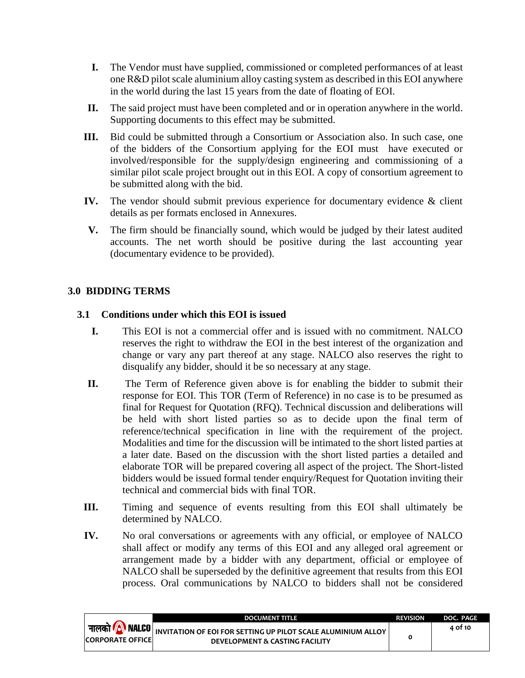- **I.** The Vendor must have supplied, commissioned or completed performances of at least one R&D pilot scale aluminium alloy casting system as described in this EOI anywhere in the world during the last 15 years from the date of floating of EOI.
- **II.** The said project must have been completed and or in operation anywhere in the world. Supporting documents to this effect may be submitted.
- **III.** Bid could be submitted through a Consortium or Association also. In such case, one of the bidders of the Consortium applying for the EOI must have executed or involved/responsible for the supply/design engineering and commissioning of a similar pilot scale project brought out in this EOI. A copy of consortium agreement to be submitted along with the bid.
- **IV.** The vendor should submit previous experience for documentary evidence & client details as per formats enclosed in Annexures.
- **V.** The firm should be financially sound, which would be judged by their latest audited accounts. The net worth should be positive during the last accounting year (documentary evidence to be provided).

# **3.0 BIDDING TERMS**

### **3.1 Conditions under which this EOI is issued**

- **I.** This EOI is not a commercial offer and is issued with no commitment. NALCO reserves the right to withdraw the EOI in the best interest of the organization and change or vary any part thereof at any stage. NALCO also reserves the right to disqualify any bidder, should it be so necessary at any stage.
- **II.** The Term of Reference given above is for enabling the bidder to submit their response for EOI. This TOR (Term of Reference) in no case is to be presumed as final for Request for Quotation (RFQ). Technical discussion and deliberations will be held with short listed parties so as to decide upon the final term of reference/technical specification in line with the requirement of the project. Modalities and time for the discussion will be intimated to the short listed parties at a later date. Based on the discussion with the short listed parties a detailed and elaborate TOR will be prepared covering all aspect of the project. The Short-listed bidders would be issued formal tender enquiry/Request for Quotation inviting their technical and commercial bids with final TOR.
- **III.** Timing and sequence of events resulting from this EOI shall ultimately be determined by NALCO.
- **IV.** No oral conversations or agreements with any official, or employee of NALCO shall affect or modify any terms of this EOI and any alleged oral agreement or arrangement made by a bidder with any department, official or employee of NALCO shall be superseded by the definitive agreement that results from this EOI process. Oral communications by NALCO to bidders shall not be considered

|                         | <b>DOCUMENT TITLE</b>                                                                                               | <b>REVISION</b> | DOC. PAGE |
|-------------------------|---------------------------------------------------------------------------------------------------------------------|-----------------|-----------|
| <b>CORPORATE OFFICE</b> | नालको <b>/ NALCO</b> NIVITATION OF EOI FOR SETTING UP PILOT SCALE ALUMINIUM ALLOY<br>DEVELOPMENT & CASTING FACILITY |                 | 4 of 10   |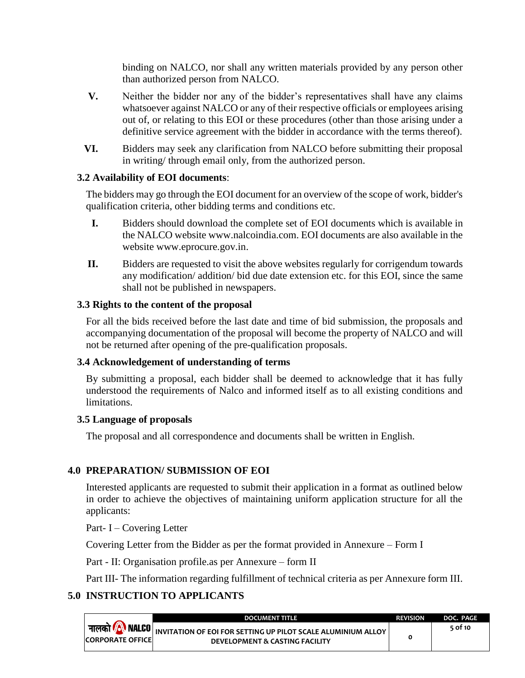binding on NALCO, nor shall any written materials provided by any person other than authorized person from NALCO.

- **V.** Neither the bidder nor any of the bidder's representatives shall have any claims whatsoever against NALCO or any of their respective officials or employees arising out of, or relating to this EOI or these procedures (other than those arising under a definitive service agreement with the bidder in accordance with the terms thereof).
- **VI.** Bidders may seek any clarification from NALCO before submitting their proposal in writing/ through email only, from the authorized person.

### **3.2 Availability of EOI documents**:

The bidders may go through the EOI document for an overview of the scope of work, bidder's qualification criteria, other bidding terms and conditions etc.

- **I.** Bidders should download the complete set of EOI documents which is available in the NALCO website [www.nalcoindia.com.](http://www.nalcoindia.com/) EOI documents are also available in the website [www.eprocure.gov.in.](http://www.eprocure.gov.in/)
- **II.** Bidders are requested to visit the above websites regularly for corrigendum towards any modification/ addition/ bid due date extension etc. for this EOI, since the same shall not be published in newspapers.

#### **3.3 Rights to the content of the proposal**

For all the bids received before the last date and time of bid submission, the proposals and accompanying documentation of the proposal will become the property of NALCO and will not be returned after opening of the pre-qualification proposals.

#### **3.4 Acknowledgement of understanding of terms**

By submitting a proposal, each bidder shall be deemed to acknowledge that it has fully understood the requirements of Nalco and informed itself as to all existing conditions and limitations.

#### **3.5 Language of proposals**

The proposal and all correspondence and documents shall be written in English.

# **4.0 PREPARATION/ SUBMISSION OF EOI**

Interested applicants are requested to submit their application in a format as outlined below in order to achieve the objectives of maintaining uniform application structure for all the applicants:

Part- I – Covering Letter

Covering Letter from the Bidder as per the format provided in Annexure – Form I

Part - II: Organisation profile.as per Annexure – form II

Part III- The information regarding fulfillment of technical criteria as per Annexure form III.

# **5.0 INSTRUCTION TO APPLICANTS**

|                          | DOCUMENT TITLE.                                                                                                                                     | <b>REVISION</b> | DOC. PAGE |
|--------------------------|-----------------------------------------------------------------------------------------------------------------------------------------------------|-----------------|-----------|
| <b>CORPORATE OFFICE!</b> | <b>∣ नालको <mark>∕A</mark>\ NALCO  </b> INVITATION OF EOI FOR SETTING UP PILOT SCALE ALUMINIUM ALLOY <sup> </sup><br>DEVELOPMENT & CASTING FACILITY |                 | 5 of 10   |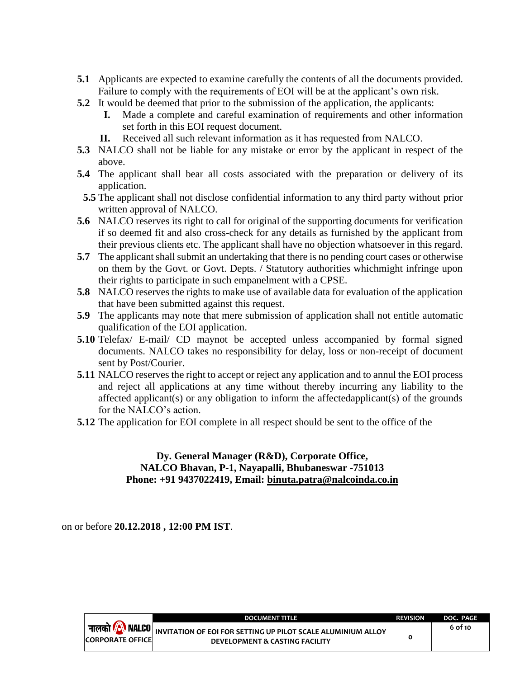- **5.1** Applicants are expected to examine carefully the contents of all the documents provided. Failure to comply with the requirements of EOI will be at the applicant's own risk.
- **5.2** It would be deemed that prior to the submission of the application, the applicants:
	- **I.** Made a complete and careful examination of requirements and other information set forth in this EOI request document.
	- **II.** Received all such relevant information as it has requested from NALCO.
- **5.3** NALCO shall not be liable for any mistake or error by the applicant in respect of the above.
- **5.4** The applicant shall bear all costs associated with the preparation or delivery of its application.
- **5.5** The applicant shall not disclose confidential information to any third party without prior written approval of NALCO.
- **5.6** NALCO reserves its right to call for original of the supporting documents for verification if so deemed fit and also cross-check for any details as furnished by the applicant from their previous clients etc. The applicant shall have no objection whatsoever in this regard.
- **5.7** The applicant shall submit an undertaking that there is no pending court cases or otherwise on them by the Govt. or Govt. Depts. / Statutory authorities whichmight infringe upon their rights to participate in such empanelment with a CPSE.
- **5.8** NALCO reserves the rights to make use of available data for evaluation of the application that have been submitted against this request.
- **5.9** The applicants may note that mere submission of application shall not entitle automatic qualification of the EOI application.
- **5.10** Telefax/ E-mail/ CD maynot be accepted unless accompanied by formal signed documents. NALCO takes no responsibility for delay, loss or non-receipt of document sent by Post/Courier.
- **5.11** NALCO reserves the right to accept or reject any application and to annul the EOI process and reject all applications at any time without thereby incurring any liability to the affected applicant(s) or any obligation to inform the affectedapplicant(s) of the grounds for the NALCO's action.
- **5.12** The application for EOI complete in all respect should be sent to the office of the

#### **Dy. General Manager (R&D), Corporate Office, NALCO Bhavan, P-1, Nayapalli, Bhubaneswar -751013 Phone: +91 9437022419, Email: [binuta.patra@nalcoinda.co.in](mailto:binuta.patra@nalcoinda.co.in)**

on or before **20.12.2018 , 12:00 PM IST**.

|                                                       | <b>DOCUMENT TITLE</b>                                                                          | <b>REVISION</b> | DOC. PAGE |
|-------------------------------------------------------|------------------------------------------------------------------------------------------------|-----------------|-----------|
| नालको <i>(A</i> ) NALCO  <br><b>CORPORATE OFFICEL</b> | INVITATION OF EOI FOR SETTING UP PILOT SCALE ALUMINIUM ALLOY<br>DEVELOPMENT & CASTING FACILITY |                 | 6 of 10   |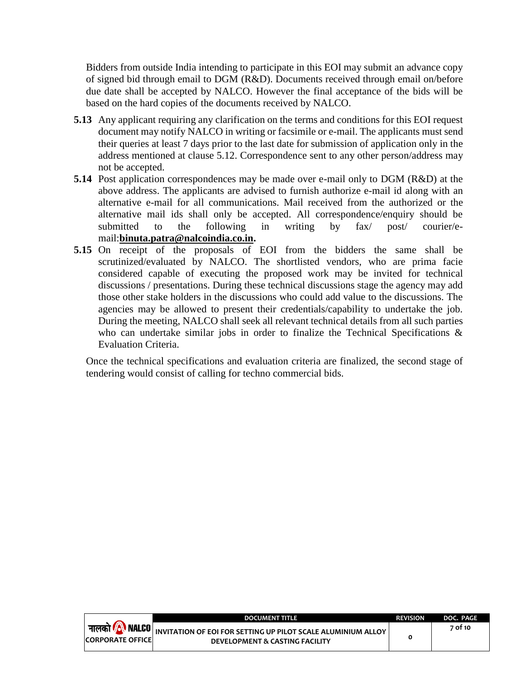Bidders from outside India intending to participate in this EOI may submit an advance copy of signed bid through email to DGM (R&D). Documents received through email on/before due date shall be accepted by NALCO. However the final acceptance of the bids will be based on the hard copies of the documents received by NALCO.

- **5.13** Any applicant requiring any clarification on the terms and conditions for this EOI request document may notify NALCO in writing or facsimile or e-mail. The applicants must send their queries at least 7 days prior to the last date for submission of application only in the address mentioned at clause 5.12. Correspondence sent to any other person/address may not be accepted.
- **5.14** Post application correspondences may be made over e-mail only to DGM (R&D) at the above address. The applicants are advised to furnish authorize e-mail id along with an alternative e-mail for all communications. Mail received from the authorized or the alternative mail ids shall only be accepted. All correspondence/enquiry should be submitted to the following in writing by fax/ post/ courier/email:**[binuta.patra@nalcoindia.co.in.](mailto:binuta.patra@nalcoindia.co.in)**
- **5.15** On receipt of the proposals of EOI from the bidders the same shall be scrutinized/evaluated by NALCO. The shortlisted vendors, who are prima facie considered capable of executing the proposed work may be invited for technical discussions / presentations. During these technical discussions stage the agency may add those other stake holders in the discussions who could add value to the discussions. The agencies may be allowed to present their credentials/capability to undertake the job. During the meeting, NALCO shall seek all relevant technical details from all such parties who can undertake similar jobs in order to finalize the Technical Specifications & Evaluation Criteria.

Once the technical specifications and evaluation criteria are finalized, the second stage of tendering would consist of calling for techno commercial bids.

|                          | <b>DOCUMENT TITLE</b>                                                                                                   | <b>REVISION</b> | DOC. PAGE |
|--------------------------|-------------------------------------------------------------------------------------------------------------------------|-----------------|-----------|
| <b>CORPORATE OFFICEL</b> | नालको <b>(A) NALCO</b> INVITATION OF EOI FOR SETTING UP PILOT SCALE ALUMINIUM ALLOY I<br>DEVELOPMENT & CASTING FACILITY |                 | 7 of 10   |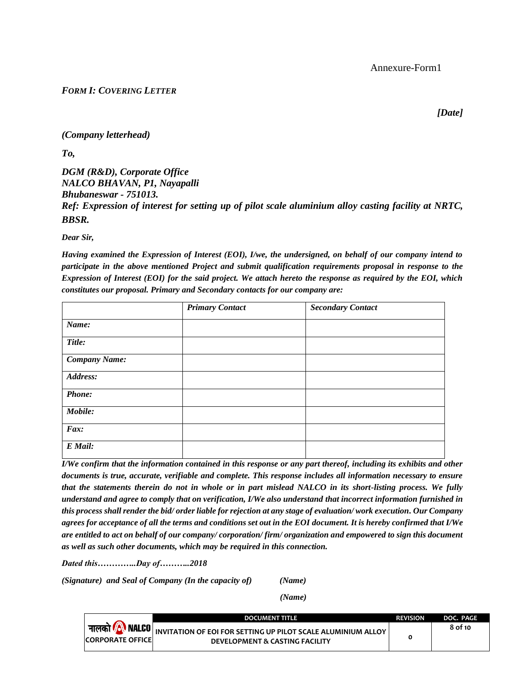#### *FORM I: COVERING LETTER*

*[Date]*

*(Company letterhead)* 

*To,*

*DGM (R&D), Corporate Office NALCO BHAVAN, P1, Nayapalli Bhubaneswar - 751013. Ref: Expression of interest for setting up of pilot scale aluminium alloy casting facility at NRTC, BBSR.*

*Dear Sir,* 

*Having examined the Expression of Interest (EOI), I/we, the undersigned, on behalf of our company intend to participate in the above mentioned Project and submit qualification requirements proposal in response to the Expression of Interest (EOI) for the said project. We attach hereto the response as required by the EOI, which constitutes our proposal. Primary and Secondary contacts for our company are:*

|                      | <b>Primary Contact</b> | <b>Secondary Contact</b> |
|----------------------|------------------------|--------------------------|
| Name:                |                        |                          |
| Title:               |                        |                          |
| <b>Company Name:</b> |                        |                          |
| Address:             |                        |                          |
| <b>Phone:</b>        |                        |                          |
| Mobile:              |                        |                          |
| Fax:                 |                        |                          |
| E Mail:              |                        |                          |

*I/We confirm that the information contained in this response or any part thereof, including its exhibits and other documents is true, accurate, verifiable and complete. This response includes all information necessary to ensure that the statements therein do not in whole or in part mislead NALCO in its short-listing process. We fully understand and agree to comply that on verification, I/We also understand that incorrect information furnished in this process shall render the bid/ order liable for rejection at any stage of evaluation/ work execution. Our Company agrees for acceptance of all the terms and conditions set out in the EOI document. It is hereby confirmed that I/We are entitled to act on behalf of our company/ corporation/ firm/ organization and empowered to sign this document as well as such other documents, which may be required in this connection.*

*Dated this…………..Day of………..2018*

*(Signature) and Seal of Company (In the capacity of) (Name)*

 *(Name)*

**DOCUMENT TITLE REVISION DOC. PAGE** नालको *( N* NALCO **8 of 10 INVITATION OF EOI FOR SETTING UP PILOT SCALE ALUMINIUM ALLOY DEVELOPMENT & CASTING FACILITY 0 CORPORATE OFFICE**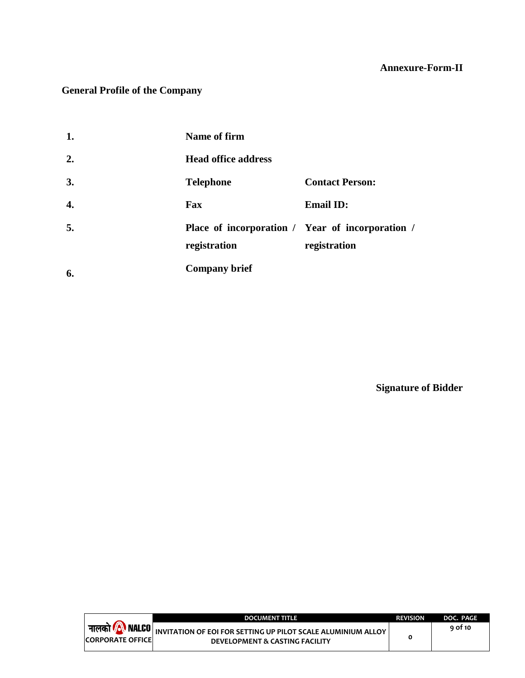# **Annexure-Form-II**

# **General Profile of the Company**

| 1. | Name of firm                                                     |                        |
|----|------------------------------------------------------------------|------------------------|
| 2. | <b>Head office address</b>                                       |                        |
| 3. | <b>Telephone</b>                                                 | <b>Contact Person:</b> |
| 4. | Fax                                                              | <b>Email ID:</b>       |
| 5. | Place of incorporation / Year of incorporation /<br>registration | registration           |
| 6. | <b>Company brief</b>                                             |                        |

**Signature of Bidder**

Ξ

|                          | <b>DOCUMENT TITLE</b>                                                                                                               | <b>REVISION</b> | DOC. PAGE |
|--------------------------|-------------------------------------------------------------------------------------------------------------------------------------|-----------------|-----------|
| <b>CORPORATE OFFICEL</b> | <b>  नालको <mark>/ NALCO</mark></b> NINVITATION OF EOI FOR SETTING UP PILOT SCALE ALUMINIUM ALLOY<br>DEVELOPMENT & CASTING FACILITY |                 | 9 of 10   |
|                          |                                                                                                                                     |                 |           |